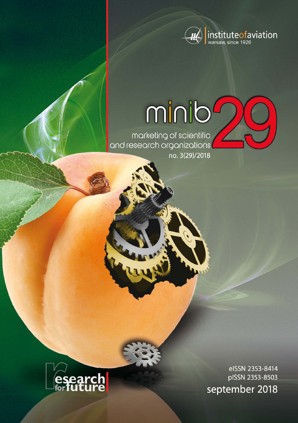

# minib

marketing of scientific<br>and research organizations no. 3(29)/2018



elSSN 2353-8414 pISSN 2353-8503 september 2018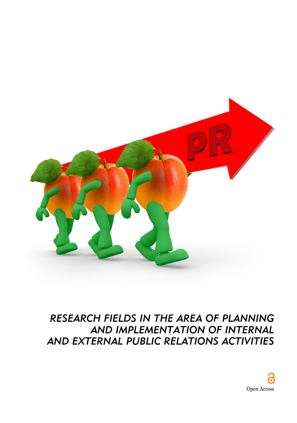

# *RESEARCH FIELDS IN THE AREA OF PLANNING AND IMPLEMENTATION OF INTERNAL AND EXTERNAL PUBLIC RELATIONS ACTIVITIES*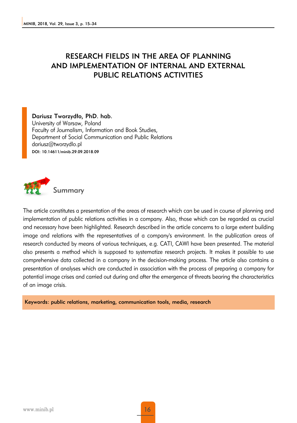# RESEARCH FIELDS IN THE AREA OF PLANNING AND IMPLEMENTATION OF INTERNAL AND EXTERNAL PUBLIC RELATIONS ACTIVITIES

Dariusz Tworzydło, PhD. hab.

University of Warsaw, Poland Faculty of Journalism, Information and Book Studies, Department of Social Communication and Public Relations dariusz@tworzydlo.pl DOI: 10.14611/minib.29.09.2018.09



The article constitutes a presentation of the areas of research which can be used in course of planning and implementation of public relations activities in a company. Also, those which can be regarded as crucial and necessary have been highlighted. Research described in the article concerns to a large extent building image and relations with the representatives of a company's environment. In the publication areas of research conducted by means of various techniques, e.g. CATI, CAWI have been presented. The material also presents a method which is supposed to systematize research projects. It makes it possible to use comprehensive data collected in a company in the decision-making process. The article also contains a presentation of analyses which are conducted in association with the process of preparing a company for potential image crises and carried out during and after the emergence of threats bearing the characteristics of an image crisis.

Keywords: public relations, marketing, communication tools, media, research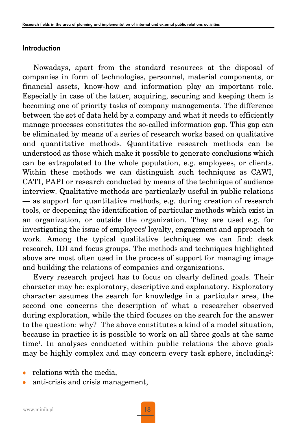#### Introduction

Nowadays, apart from the standard resources at the disposal of companies in form of technologies, personnel, material components, or financial assets, know-how and information play an important role. Especially in case of the latter, acquiring, securing and keeping them is becoming one of priority tasks of company managements. The difference between the set of data held by a company and what it needs to efficiently manage processes constitutes the so-called information gap. This gap can be eliminated by means of a series of research works based on qualitative and quantitative methods. Quantitative research methods can be understood as those which make it possible to generate conclusions which can be extrapolated to the whole population, e.g. employees, or clients. Within these methods we can distinguish such techniques as CAWI, CATI, PAPI or research conducted by means of the technique of audience interview. Qualitative methods are particularly useful in public relations — as support for quantitative methods, e.g. during creation of research tools, or deepening the identification of particular methods which exist in an organization, or outside the organization. They are used e.g. for investigating the issue of employees' loyalty, engagement and approach to work. Among the typical qualitative techniques we can find: desk research, IDI and focus groups. The methods and techniques highlighted above are most often used in the process of support for managing image and building the relations of companies and organizations.

Every research project has to focus on clearly defined goals. Their character may be: exploratory, descriptive and explanatory. Exploratory character assumes the search for knowledge in a particular area, the second one concerns the description of what a researcher observed during exploration, while the third focuses on the search for the answer to the question: why? The above constitutes a kind of a model situation, because in practice it is possible to work on all three goals at the same time1. In analyses conducted within public relations the above goals may be highly complex and may concern every task sphere, including<sup>2</sup>:

- relations with the media,
- <sup>z</sup> anti-crisis and crisis management,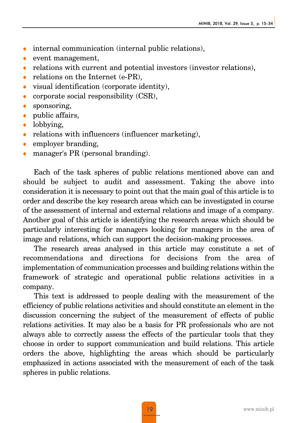- $\bullet$  internal communication (internal public relations),
- event management,
- relations with current and potential investors (investor relations),
- relations on the Internet  $(e-PR)$ ,
- $\bullet$  visual identification (corporate identity),
- corporate social responsibility  $(CSR)$ ,
- $\bullet$  sponsoring,
- $\bullet$  public affairs,
- $\bullet$  lobbying,
- $\bullet$  relations with influencers (influencer marketing),
- employer branding,
- manager's PR (personal branding).

Each of the task spheres of public relations mentioned above can and should be subject to audit and assessment. Taking the above into consideration it is necessary to point out that the main goal of this article is to order and describe the key research areas which can be investigated in course of the assessment of internal and external relations and image of a company. Another goal of this article is identifying the research areas which should be particularly interesting for managers looking for managers in the area of image and relations, which can support the decision-making processes.

The research areas analysed in this article may constitute a set of recommendations and directions for decisions from the area of implementation of communication processes and building relations within the framework of strategic and operational public relations activities in a company.

This text is addressed to people dealing with the measurement of the efficiency of public relations activities and should constitute an element in the discussion concerning the subject of the measurement of effects of public relations activities. It may also be a basis for PR professionals who are not always able to correctly assess the effects of the particular tools that they choose in order to support communication and build relations. This article orders the above, highlighting the areas which should be particularly emphasized in actions associated with the measurement of each of the task spheres in public relations.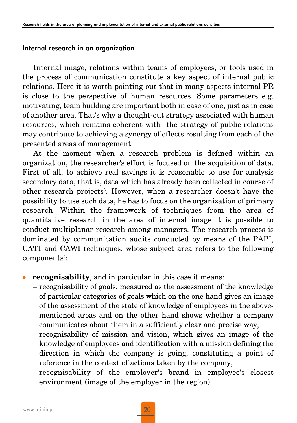#### Internal research in an organization

Internal image, relations within teams of employees, or tools used in the process of communication constitute a key aspect of internal public relations. Here it is worth pointing out that in many aspects internal PR is close to the perspective of human resources. Some parameters e.g. motivating, team building are important both in case of one, just as in case of another area. That's why a thought-out strategy associated with human resources, which remains coherent with the strategy of public relations may contribute to achieving a synergy of effects resulting from each of the presented areas of management.

At the moment when a research problem is defined within an organization, the researcher's effort is focused on the acquisition of data. First of all, to achieve real savings it is reasonable to use for analysis secondary data, that is, data which has already been collected in course of other research projects3. However, when a researcher doesn't have the possibility to use such data, he has to focus on the organization of primary research. Within the framework of techniques from the area of quantitative research in the area of internal image it is possible to conduct multiplanar research among managers. The research process is dominated by communication audits conducted by means of the PAPI, CATI and CAWI techniques, whose subject area refers to the following components<sup>4</sup>:

# **recognisability**, and in particular in this case it means:

- recognisability of goals, measured as the assessment of the knowledge of particular categories of goals which on the one hand gives an image of the assessment of the state of knowledge of employees in the abovementioned areas and on the other hand shows whether a company communicates about them in a sufficiently clear and precise way,
- recognisability of mission and vision, which gives an image of the knowledge of employees and identification with a mission defining the direction in which the company is going, constituting a point of reference in the context of actions taken by the company,
- recognisability of the employer's brand in employee's closest environment (image of the employer in the region).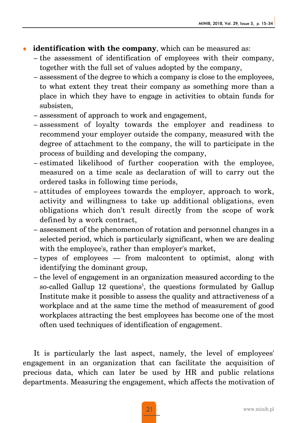- **identification with the company**, which can be measured as:
	- the assessment of identification of employees with their company, together with the full set of values adopted by the company,
	- assessment of the degree to which a company is close to the employees, to what extent they treat their company as something more than a place in which they have to engage in activities to obtain funds for subsisten,
	- assessment of approach to work and engagement,
	- assessment of loyalty towards the employer and readiness to recommend your employer outside the company, measured with the degree of attachment to the company, the will to participate in the process of building and developing the company,
	- estimated likelihood of further cooperation with the employee, measured on a time scale as declaration of will to carry out the ordered tasks in following time periods,
	- attitudes of employees towards the employer, approach to work, activity and willingness to take up additional obligations, even obligations which don't result directly from the scope of work defined by a work contract,
	- assessment of the phenomenon of rotation and personnel changes in a selected period, which is particularly significant, when we are dealing with the employee's, rather than employer's market,
	- types of employees from malcontent to optimist, along with identifying the dominant group,
	- the level of engagement in an organization measured according to the so-called Gallup 12 questions<sup>5</sup>, the questions formulated by Gallup Institute make it possible to assess the quality and attractiveness of a workplace and at the same time the method of measurement of good workplaces attracting the best employees has become one of the most often used techniques of identification of engagement.

It is particularly the last aspect, namely, the level of employees' engagement in an organization that can facilitate the acquisition of precious data, which can later be used by HR and public relations departments. Measuring the engagement, which affects the motivation of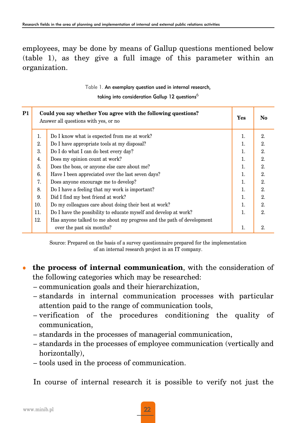# employees, may be done by means of Gallup questions mentioned below (table 1), as they give a full image of this parameter within an organization.

Table 1. An exemplary question used in internal research,

taking into consideration Gallup 12 questions $<sup>6</sup>$ </sup>

| P1 | Could you say whether You agree with the following questions?<br>Answer all questions with yes, or no |                                                                       | Yes | No |
|----|-------------------------------------------------------------------------------------------------------|-----------------------------------------------------------------------|-----|----|
|    | 1.                                                                                                    | Do I know what is expected from me at work?                           | 1.  | 2. |
|    | 2.                                                                                                    | Do I have appropriate tools at my disposal?                           | 1.  | 2. |
|    | 3.                                                                                                    | Do I do what I can do best every day?                                 | 1.  | 2. |
|    | 4.                                                                                                    | Does my opinion count at work?                                        | 1.  | 2. |
|    | 5.                                                                                                    | Does the boss, or anyone else care about me?                          | 1.  | 2. |
|    | 6.                                                                                                    | Have I been appreciated over the last seven days?                     | 1.  | 2. |
|    | 7.                                                                                                    | Does anyone encourage me to develop?                                  | 1.  | 2. |
|    | 8.                                                                                                    | Do I have a feeling that my work is important?                        | 1.  | 2. |
|    | 9.                                                                                                    | Did I find my best friend at work?                                    | 1.  | 2. |
|    | 10.                                                                                                   | Do my colleagues care about doing their best at work?                 | 1.  | 2. |
|    | 11.                                                                                                   | Do I have the possibility to educate myself and develop at work?      | 1.  | 2. |
|    | 12.                                                                                                   | Has anyone talked to me about my progress and the path of development |     |    |
|    |                                                                                                       | over the past six months?                                             | 1.  | 2. |

Source: Prepared on the basis of a survey questionnaire prepared for the implementation of an internal research project in an IT company.

- the process of internal communication, with the consideration of the following categories which may be researched:
	- communication goals and their hierarchization,
	- standards in internal communication processes with particular attention paid to the range of communication tools,
	- verification of the procedures conditioning the quality of communication,
	- standards in the processes of managerial communication,
	- standards in the processes of employee communication (vertically and horizontally),
	- tools used in the process of communication.

In course of internal research it is possible to verify not just the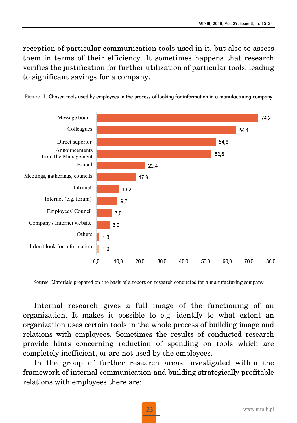reception of particular communication tools used in it, but also to assess them in terms of their efficiency. It sometimes happens that research verifies the justification for further utilization of particular tools, leading to significant savings for a company.



Picture 1. Chosen tools used by employees in the process of looking for information in a manufacturing company

Source: Materials prepared on the basis of a report on research conducted for a manufacturing company

Internal research gives a full image of the functioning of an organization. It makes it possible to e.g. identify to what extent an organization uses certain tools in the whole process of building image and relations with employees. Sometimes the results of conducted research provide hints concerning reduction of spending on tools which are completely inefficient, or are not used by the employees.

In the group of further research areas investigated within the framework of internal communication and building strategically profitable relations with employees there are: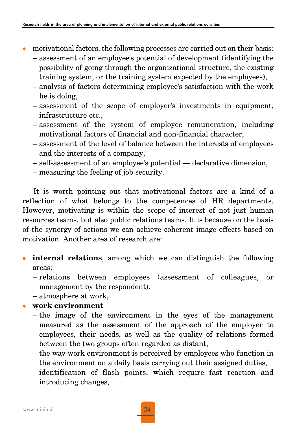- motivational factors, the following processes are carried out on their basis:
	- assessment of an employee's potential of development (identifying the possibility of going through the organizational structure, the existing training system, or the training system expected by the employees),
	- analysis of factors determining employee's satisfaction with the work he is doing,
	- assessment of the scope of employer's investments in equipment, infrastructure etc.,
	- assessment of the system of employee remuneration, including motivational factors of financial and non-financial character,
	- assessment of the level of balance between the interests of employees and the interests of a company,
	- self-assessment of an employee's potential declarative dimension,
	- measuring the feeling of job security.

It is worth pointing out that motivational factors are a kind of a reflection of what belongs to the competences of HR departments. However, motivating is within the scope of interest of not just human resources teams, but also public relations teams. It is because on the basis of the synergy of actions we can achieve coherent image effects based on motivation. Another area of research are:

- **internal relations**, among which we can distinguish the following areas:
	- relations between employees (assessment of colleagues, or management by the respondent),
	- atmosphere at work,
- <sup>z</sup> **work environment**
	- the image of the environment in the eyes of the management measured as the assessment of the approach of the employer to employees, their needs, as well as the quality of relations formed between the two groups often regarded as distant,
	- the way work environment is perceived by employees who function in the environment on a daily basis carrying out their assigned duties,
	- identification of flash points, which require fast reaction and introducing changes,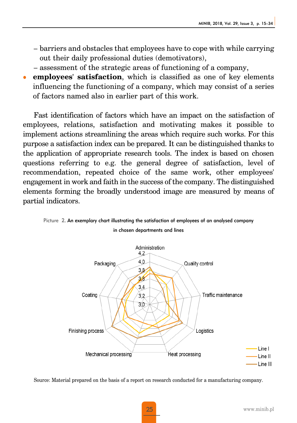- barriers and obstacles that employees have to cope with while carrying out their daily professional duties (demotivators),
- assessment of the strategic areas of functioning of a company,
- **employees' satisfaction**, which is classified as one of key elements influencing the functioning of a company, which may consist of a series of factors named also in earlier part of this work.

Fast identification of factors which have an impact on the satisfaction of employees, relations, satisfaction and motivating makes it possible to implement actions streamlining the areas which require such works. For this purpose a satisfaction index can be prepared. It can be distinguished thanks to the application of appropriate research tools. The index is based on chosen questions referring to e.g. the general degree of satisfaction, level of recommendation, repeated choice of the same work, other employees' engagement in work and faith in the success of the company. The distinguished elements forming the broadly understood image are measured by means of partial indicators.





Source: Material prepared on the basis of a report on research conducted for a manufacturing company.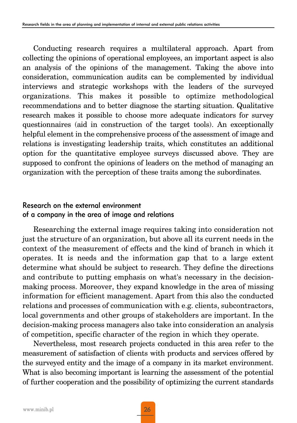Conducting research requires a multilateral approach. Apart from collecting the opinions of operational employees, an important aspect is also an analysis of the opinions of the management. Taking the above into consideration, communication audits can be complemented by individual interviews and strategic workshops with the leaders of the surveyed organizations. This makes it possible to optimize methodological recommendations and to better diagnose the starting situation. Qualitative research makes it possible to choose more adequate indicators for survey questionnaires (aid in construction of the target tools). An exceptionally helpful element in the comprehensive process of the assessment of image and relations is investigating leadership traits, which constitutes an additional option for the quantitative employee surveys discussed above. They are supposed to confront the opinions of leaders on the method of managing an organization with the perception of these traits among the subordinates.

# Research on the external environment of a company in the area of image and relations

Researching the external image requires taking into consideration not just the structure of an organization, but above all its current needs in the context of the measurement of effects and the kind of branch in which it operates. It is needs and the information gap that to a large extent determine what should be subject to research. They define the directions and contribute to putting emphasis on what's necessary in the decisionmaking process. Moreover, they expand knowledge in the area of missing information for efficient management. Apart from this also the conducted relations and processes of communication with e.g. clients, subcontractors, local governments and other groups of stakeholders are important. In the decision-making process managers also take into consideration an analysis of competition, specific character of the region in which they operate.

Nevertheless, most research projects conducted in this area refer to the measurement of satisfaction of clients with products and services offered by the surveyed entity and the image of a company in its market environment. What is also becoming important is learning the assessment of the potential of further cooperation and the possibility of optimizing the current standards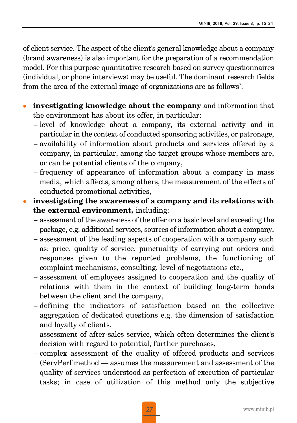of client service. The aspect of the client's general knowledge about a company (brand awareness) is also important for the preparation of a recommendation model. For this purpose quantitative research based on survey questionnaires (individual, or phone interviews) may be useful. The dominant research fields from the area of the external image of organizations are as follows<sup>7</sup>:

- **investigating knowledge about the company** and information that the environment has about its offer, in particular:
	- level of knowledge about a company, its external activity and in particular in the context of conducted sponsoring activities, or patronage,
	- availability of information about products and services offered by a company, in particular, among the target groups whose members are, or can be potential clients of the company,
	- frequency of appearance of information about a company in mass media, which affects, among others, the measurement of the effects of conducted promotional activities,
- investigating the awareness of a company and its relations with **the external environment,** including:
	- assessment of the awareness of the offer on a basic level and exceeding the package, e.g. additional services, sources of information about a company,
	- assessment of the leading aspects of cooperation with a company such as: price, quality of service, punctuality of carrying out orders and responses given to the reported problems, the functioning of complaint mechanisms, consulting, level of negotiations etc.,
	- assessment of employees assigned to cooperation and the quality of relations with them in the context of building long-term bonds between the client and the company,
	- defining the indicators of satisfaction based on the collective aggregation of dedicated questions e.g. the dimension of satisfaction and loyalty of clients,
	- assessment of after-sales service, which often determines the client's decision with regard to potential, further purchases,
	- complex assessment of the quality of offered products and services (ServPerf method — assumes the measurement and assessment of the quality of services understood as perfection of execution of particular tasks; in case of utilization of this method only the subjective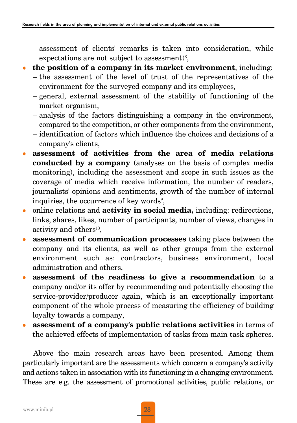assessment of clients' remarks is taken into consideration, while expectations are not subject to assessment) $8$ ,

### **the position of a company in its market environment**, including:

- the assessment of the level of trust of the representatives of the environment for the surveyed company and its employees,
- general, external assessment of the stability of functioning of the market organism,
- analysis of the factors distinguishing a company in the environment, compared to the competition, or other components from the environment,
- identification of factors which influence the choices and decisions of a company's clients,
- <sup>z</sup> **assessment of activities from the area of media relations conducted by a company** (analyses on the basis of complex media monitoring), including the assessment and scope in such issues as the coverage of media which receive information, the number of readers, journalists' opinions and sentiments, growth of the number of internal inquiries, the occurrence of key words $9$ ,
- online relations and **activity in social media**, including: redirections, links, shares, likes, number of participants, number of views, changes in activity and other $s^{10}$ ,
- <sup>z</sup> **assessment of communication processes** taking place between the company and its clients, as well as other groups from the external environment such as: contractors, business environment, local administration and others,
- <sup>z</sup> **assessment of the readiness to give a recommendation** to a company and/or its offer by recommending and potentially choosing the service-provider/producer again, which is an exceptionally important component of the whole process of measuring the efficiency of building loyalty towards a company,
- **assessment of a company's public relations activities** in terms of the achieved effects of implementation of tasks from main task spheres.

Above the main research areas have been presented. Among them particularly important are the assessments which concern a company's activity and actions taken in association with its functioning in a changing environment. These are e.g. the assessment of promotional activities, public relations, or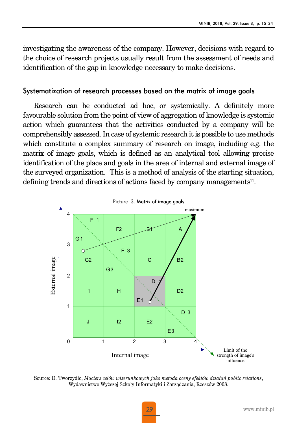investigating the awareness of the company. However, decisions with regard to the choice of research projects usually result from the assessment of needs and identification of the gap in knowledge necessary to make decisions.

#### Systematization of research processes based on the matrix of image goals

Research can be conducted ad hoc, or systemically. A definitely more favourable solution from the point of view of aggregation of knowledge is systemic action which guarantees that the activities conducted by a company will be comprehensibly assessed. In case of systemic research it is possible to use methods which constitute a complex summary of research on image, including e.g. the matrix of image goals, which is defined as an analytical tool allowing precise identification of the place and goals in the area of internal and external image of the surveyed organization. This is a method of analysis of the starting situation, defining trends and directions of actions faced by company managements<sup>11</sup>.



Source: D. Tworzydło, *Macierz celów wizerunkowych jako metoda oceny efektów działań public relations*, Wydawnictwo Wyższej Szkoły Informatyki i Zarządzania, Rzeszów 2008.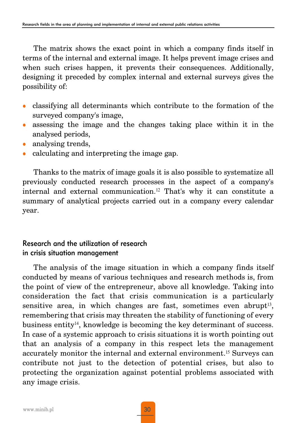The matrix shows the exact point in which a company finds itself in terms of the internal and external image. It helps prevent image crises and when such crises happen, it prevents their consequences. Additionally, designing it preceded by complex internal and external surveys gives the possibility of:

- classifying all determinants which contribute to the formation of the surveyed company's image,
- <sup>z</sup> assessing the image and the changes taking place within it in the analysed periods,
- analysing trends,
- <sup>z</sup> calculating and interpreting the image gap.

Thanks to the matrix of image goals it is also possible to systematize all previously conducted research processes in the aspect of a company's internal and external communication.<sup>12</sup> That's why it can constitute a summary of analytical projects carried out in a company every calendar year.

# Research and the utilization of research in crisis situation management

The analysis of the image situation in which a company finds itself conducted by means of various techniques and research methods is, from the point of view of the entrepreneur, above all knowledge. Taking into consideration the fact that crisis communication is a particularly sensitive area, in which changes are fast, sometimes even abrupt<sup>13</sup>, remembering that crisis may threaten the stability of functioning of every business entity $14$ , knowledge is becoming the key determinant of success. In case of a systemic approach to crisis situations it is worth pointing out that an analysis of a company in this respect lets the management accurately monitor the internal and external environment.<sup>15</sup> Surveys can contribute not just to the detection of potential crises, but also to protecting the organization against potential problems associated with any image crisis.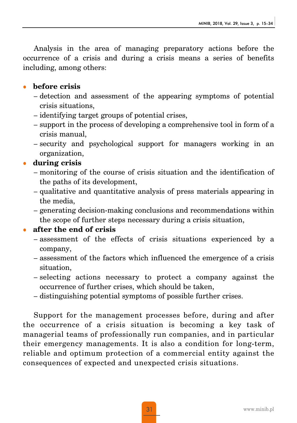Analysis in the area of managing preparatory actions before the occurrence of a crisis and during a crisis means a series of benefits including, among others:

# **•** before crisis

- detection and assessment of the appearing symptoms of potential crisis situations,
- identifying target groups of potential crises,
- support in the process of developing a comprehensive tool in form of a crisis manual,
- security and psychological support for managers working in an organization,

# <sup>z</sup> **during crisis**

- monitoring of the course of crisis situation and the identification of the paths of its development,
- qualitative and quantitative analysis of press materials appearing in the media,
- generating decision-making conclusions and recommendations within the scope of further steps necessary during a crisis situation,

# <sup>z</sup> **after the end of crisis**

- assessment of the effects of crisis situations experienced by a company,
- assessment of the factors which influenced the emergence of a crisis situation,
- selecting actions necessary to protect a company against the occurrence of further crises, which should be taken,
- distinguishing potential symptoms of possible further crises.

Support for the management processes before, during and after the occurrence of a crisis situation is becoming a key task of managerial teams of professionally run companies, and in particular their emergency managements. It is also a condition for long-term, reliable and optimum protection of a commercial entity against the consequences of expected and unexpected crisis situations.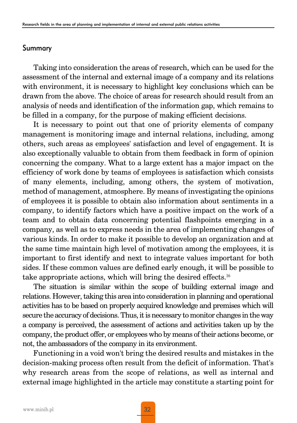#### Summary

Taking into consideration the areas of research, which can be used for the assessment of the internal and external image of a company and its relations with environment, it is necessary to highlight key conclusions which can be drawn from the above. The choice of areas for research should result from an analysis of needs and identification of the information gap, which remains to be filled in a company, for the purpose of making efficient decisions.

It is necessary to point out that one of priority elements of company management is monitoring image and internal relations, including, among others, such areas as employees' satisfaction and level of engagement. It is also exceptionally valuable to obtain from them feedback in form of opinion concerning the company. What to a large extent has a major impact on the efficiency of work done by teams of employees is satisfaction which consists of many elements, including, among others, the system of motivation, method of management, atmosphere. By means of investigating the opinions of employees it is possible to obtain also information about sentiments in a company, to identify factors which have a positive impact on the work of a team and to obtain data concerning potential flashpoints emerging in a company, as well as to express needs in the area of implementing changes of various kinds. In order to make it possible to develop an organization and at the same time maintain high level of motivation among the employees, it is important to first identify and next to integrate values important for both sides. If these common values are defined early enough, it will be possible to take appropriate actions, which will bring the desired effects.<sup>16</sup>

The situation is similar within the scope of building external image and relations. However, taking this area into consideration in planning and operational activities has to be based on properly acquired knowledge and premises which will secure the accuracy of decisions. Thus, it is necessary to monitor changes in the way a company is perceived, the assessment of actions and activities taken up by the company, the product offer, or employees who by means of their actions become, or not, the ambassadors of the company in its environment.

Functioning in a void won't bring the desired results and mistakes in the decision-making process often result from the deficit of information. That's why research areas from the scope of relations, as well as internal and external image highlighted in the article may constitute a starting point for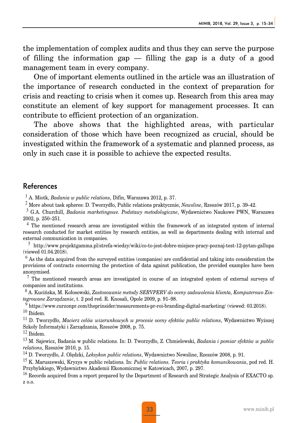the implementation of complex audits and thus they can serve the purpose of filling the information gap — filling the gap is a duty of a good management team in every company.

One of important elements outlined in the article was an illustration of the importance of research conducted in the context of preparation for crisis and reacting to crisis when it comes up. Research from this area may constitute an element of key support for management processes. It can contribute to efficient protection of an organization.

The above shows that the highlighted areas, with particular consideration of those which have been recognized as crucial, should be investigated within the framework of a systematic and planned process, as only in such case it is possible to achieve the expected results.

#### References

<sup>1</sup> A. Miotk, *Badania w public relations*, Difin, Warszawa 2012, p. 37.

<sup>2</sup> More about task spheres: D. Tworzydło, Public relations praktycznie, *Newsline*, Rzeszów 2017, p. 39–42.

<sup>3</sup> G.A. Churchill, *Badania marketingowe. Podstawy metodologiczne*, Wydawnictwo Naukowe PWN, Warszawa 2002, p. 250–251.

 $4$  The mentioned research areas are investigated within the framework of an integrated system of internal research conducted for market entities by research entities, as well as departments dealing with internal and external communication in companies.

<sup>5</sup> http://www.projektgamma.pl/strefa-wiedzy/wiki/co-to-jest-dobre-miejsce-pracy-poznaj-test-12-pytan-gallupa (viewed 01.04.2018).

<sup>6</sup> As the data acquired from the surveyed entities (companies) are confidential and taking into consideration the provisions of contracts concerning the protection of data against publication, the provided examples have been anonymised.

 $7$  The mentioned research areas are investigated in course of an integrated system of external surveys of companies and institutions.

<sup>8</sup> A. Kucińska, M. Kołosowski, *Zastosowanie metody SERVPERV do oceny zadowolenia klienta, Komputerowo Zintegrowane Zarządzanie*, t. 2 pod red. R. Knosali, Opole 2009, p. 91–98.

<sup>9</sup> https://www.curzonpr.com/theprinsider/measurements-pr-roi-branding-digital-marketing/ (viewed: 03.2018).  $10$  Ibidem.

<sup>11</sup> D. Tworzydło, *Macierz celów wizerunkowych w procesie oceny efektów public relations*, Wydawnictwo Wyższej Szkoły Informatyki i Zarządzania, Rzeszów 2008, p. 75.

 $12$  Ibidem.

<sup>13</sup> M. Sajewicz, Badania w public relations. In: D. Tworzydło, Z. Chmielewski, *Badania i pomiar efektów w public relations*, Rzeszów 2010, p. 15.

<sup>14</sup> D. Tworzydło, J. Olędzki, *Leksykon public relations*, Wydawnictwo Newsline, Rzeszów 2008, p. 91.

<sup>15</sup> K. Maruszewski, Kryzys w public relations. In: *Public relations. Teoria i praktyka komunikowania*, pod red. H. Przybylskiego, Wydawnictwo Akademii Ekonomicznej w Katowicach, 2007, p. 297.

<sup>16</sup> Records acquired from a report prepared by the Department of Research and Strategic Analysis of EXACTO sp. z o.o.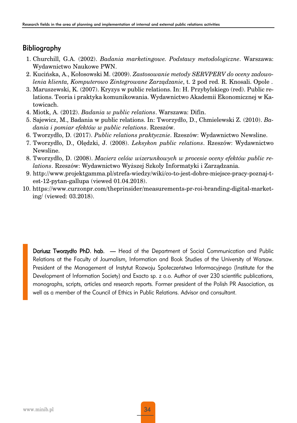# Bibliography

- 1. Churchill, G.A. (2002). *Badania marketingowe. Podstawy metodologiczne*. Warszawa: Wydawnictwo Naukowe PWN.
- 2. Kucińska, A., Kołosowski M. (2009). *Zastosowanie metody SERVPERV do oceny zadowolenia klienta, Komputerowo Zintegrowane Zarządzanie*, t. 2 pod red. R. Knosali. Opole .
- 3. Maruszewski, K. (2007). Kryzys w public relations. In: H. Przybylskiego (red). Public relations. Teoria i praktyka komunikowania. Wydawnictwo Akademii Ekonomicznej w Katowicach.
- 4. Miotk, A. (2012). *Badania w public relations*. Warszawa: Difin.
- 5. Sajewicz, M., Badania w public relations. In: Tworzydło, D., Chmielewski Z. (2010). *Badania i pomiar efektów w public relations*. Rzeszów.
- 6. Tworzydło, D. (2017). *Public relations praktycznie*. Rzeszów: Wydawnictwo Newsline.
- 7. Tworzydło, D., Olędzki, J. (2008). *Leksykon public relations*. Rzeszów: Wydawnictwo Newsline.
- 8. Tworzydło, D. (2008). *Macierz celów wizerunkowych w procesie oceny efektów public relations*. Rzeszów: Wydawnictwo Wyższej Szkoły Informatyki i Zarządzania.
- 9. http://www.projektgamma.pl/strefa-wiedzy/wiki/co-to-jest-dobre-miejsce-pracy-poznaj-test-12-pytan-gallupa (viewed 01.04.2018).
- 10. https://www.curzonpr.com/theprinsider/measurements-pr-roi-branding-digital-marketing/ (viewed: 03.2018).

Dariusz Tworzydło PhD. hab. — Head of the Department of Social Communication and Public Relations at the Faculty of Journalism, Information and Book Studies of the University of Warsaw. President of the Management of Instytut Rozwoju Społeczeństwa Informacyjnego (Institute for the Development of Information Society) and Exacto sp. z o.o. Author of over 230 scientific publications, monographs, scripts, articles and research reports. Former president of the Polish PR Association, as well as a member of the Council of Ethics in Public Relations. Advisor and consultant.